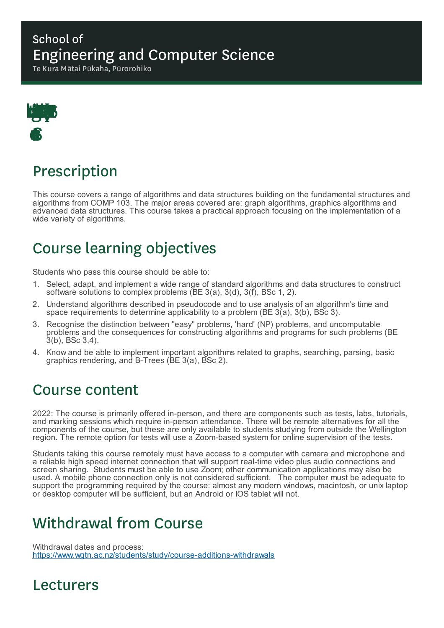#### School of Engineering and Computer Science

Te Kura Mātai Pūkaha, Pūrorohiko



# Prescription

This course covers a range of algorithms and data structures building on the fundamental structures and algorithms from COMP 103. The major areas covered are: graph algorithms, graphics algorithms and advanced data structures. This course takes a practical approach focusing on the implementation of a wide variety of algorithms.

# Course learning objectives

Students who pass this course should be able to:

- 1. Select, adapt, and implement a wide range of standard algorithms and data structures to construct software solutions to complex problems ( $\overline{BE}$  3(a), 3(d), 3(f), BSc 1, 2).
- 2. Understand algorithms described in pseudocode and to use analysis of an algorithm's time and space requirements to determine applicability to a problem ( $BE \, 3(a)$ ,  $3(b)$ ,  $B\overline{SC} \, 3$ ).
- 3. Recognise the distinction between "easy" problems, 'hard' (NP) problems, and uncomputable problems and the consequences for constructing algorithms and programs for such problems (BE 3(b), BSc 3,4).
- 4. Know and be able to implement important algorithms related to graphs, searching, parsing, basic graphics rendering, and B-Trees (BE 3(a), BSc 2).

#### Course content

2022: The course is primarily offered in-person, and there are components such as tests, labs, tutorials, and marking sessions which require in-person attendance. There will be remote alternatives for all the components of the course, but these are only available to students studying from outside the Wellington region. The remote option for tests will use a Zoom-based system for online supervision of the tests.

Students taking this course remotely must have access to a computer with camera and microphone and a reliable high speed internet connection that will support real-time video plus audio connections and screen sharing. Students must be able to use Zoom; other communication applications may also be used. A mobile phone connection only is not considered sufficient. The computer must be adequate to support the programming required by the course: almost any modern windows, macintosh, or unix laptop or desktop computer will be sufficient, but an Android or IOS tablet will not.

# Withdrawal from Course

Withdrawal dates and process: https://www.wgtn.ac.nz/students/study/course-additions-withdrawals

#### Lecturers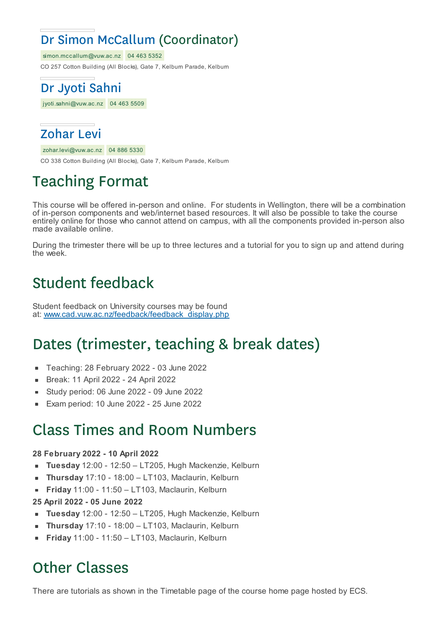### Dr Simon McCallum (Coordinator)

simon.mccallum@vuw.ac.nz 04 463 5352

CO 257 Cotton Building (All Blocks), Gate 7, Kelburn Parade, Kelburn



jyoti.sahni@vuw.ac.nz 04 463 5509

#### Zohar Levi

zohar.levi@vuw.ac.nz 04 886 5330

CO 338 Cotton Building (All Blocks), Gate 7, Kelburn Parade, Kelburn

# Teaching Format

This course will be offered in-person and online. For students in Wellington, there will be a combination of in-person components and web/internet based resources. It will also be possible to take the course entirely online for those who cannot attend on campus, with all the components provided in-person also made available online.

During the trimester there will be up to three lectures and a tutorial for you to sign up and attend during the week.

# Student feedback

Student feedback on University courses may be found at: www.cad.vuw.ac.nz/feedback/feedback\_display.php

# Dates (trimester, teaching & break dates)

- Teaching: 28 February 2022 03 June 2022
- Break: 11 April 2022 24 April 2022 É
- Study period: 06 June 2022 09 June 2022
- Exam period: 10 June 2022 25 June 2022

#### Class Times and Room Numbers

#### **28 February 2022 - 10 April 2022**

- **Tuesday** 12:00 12:50 LT205, Hugh Mackenzie, Kelburn  $\blacksquare$
- **Thursday** 17:10 18:00 LT103, Maclaurin, Kelburn É
- **Friday** 11:00 11:50 LT103, Maclaurin, Kelburn É
- **25 April 2022 - 05 June 2022**
- **Tuesday** 12:00 12:50 LT205, Hugh Mackenzie, Kelburn
- **Thursday** 17:10 18:00 LT103, Maclaurin, Kelburn
- **Friday** 11:00 11:50 LT103, Maclaurin, Kelburn

# Other Classes

There are tutorials as shown in the Timetable page of the course home page hosted by ECS.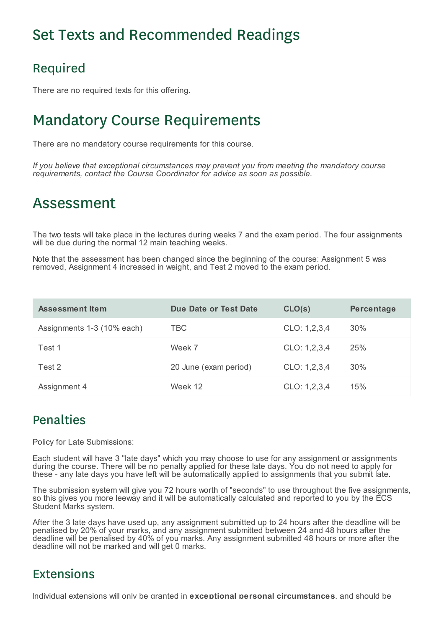# Set Texts and Recommended Readings

#### Required

There are no required texts for this offering.

### Mandatory Course Requirements

There are no mandatory course requirements for this course.

*If you believe that exceptional circumstances may prevent you from meeting the mandatory course requirements, contact the Course Coordinator for advice as soon as possible.*

#### Assessment

The two tests will take place in the lectures during weeks 7 and the exam period. The four assignments will be due during the normal 12 main teaching weeks.

Note that the assessment has been changed since the beginning of the course: Assignment 5 was removed, Assignment 4 increased in weight, and Test 2 moved to the exam period.

| Assessment Item            | Due Date or Test Date | CLO(s)       | Percentage |
|----------------------------|-----------------------|--------------|------------|
| Assignments 1-3 (10% each) | TBC                   | CLO: 1,2,3,4 | 30%        |
| Test 1                     | Week 7                | CLO: 1,2,3,4 | 25%        |
| Test 2                     | 20 June (exam period) | CLO: 1,2,3,4 | 30%        |
| Assignment 4               | Week 12               | CLO: 1,2,3,4 | 15%        |

#### Penalties

Policy for Late Submissions:

Each student will have 3 "late days" which you may choose to use for any assignment or assignments during the course. There will be no penalty applied for these late days. You do not need to apply for these - any late days you have left will be automatically applied to assignments that you submit late.

The submission system will give you 72 hours worth of "seconds" to use throughout the five assignments, so this gives you more leeway and it will be automatically calculated and reported to you by the ECS Student Marks system.

After the 3 late days have used up, any assignment submitted up to 24 hours after the deadline will be penalised by 20% of your marks, and any assignment submitted between 24 and 48 hours after the deadline will be penalised by 40% of you marks. Any assignment submitted 48 hours or more after the deadline will not be marked and will get 0 marks.

#### Extensions

Individual extensions will only be granted in **exceptional personal circumstances**, and should be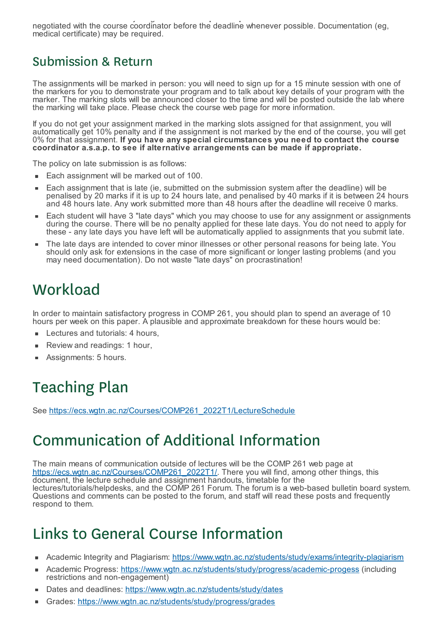Individual extensions will only be granted in **exceptional personal circumstances**, and should be negotiated with the course coordinator before the deadline whenever possible. Documentation (eg, medical certificate) may be required.

#### Submission & Return

The assignments will be marked in person: you will need to sign up for a 15 minute session with one of the markers for you to demonstrate your program and to talk about key details of your program with the marker. The marking slots will be announced closer to the time and will be posted outside the lab where the marking will take place. Please check the course web page for more information.

If you do not get your assignment marked in the marking slots assigned for that assignment, you will automatically get 10% penalty and if the assignment is not marked by the end of the course, you will get 0% for that assignment. **If you have any special circumstances you need to contact the course coordinator a.s.a.p. to see if alternative arrangements can be made if appropriate.**

The policy on late submission is as follows:

- Each assignment will be marked out of 100.
- Each assignment that is late (ie, submitted on the submission system after the deadline) will be penalised by 20 marks if it is up to 24 hours late, and penalised by 40 marks if it is between 24 hours and 48 hours late. Any work submitted more than 48 hours after the deadline will receive 0 marks.
- Each student will have 3 "late days" which you may choose to use for any assignment or assignments during the course. There will be no penalty applied for these late days. You do not need to apply for these - any late days you have left will be automatically applied to assignments that you submit late.
- The late days are intended to cover minor illnesses or other personal reasons for being late. You should only ask for extensions in the case of more significant or longer lasting problems (and you may need documentation). Do not waste "late days" on procrastination!

# **Workload**

In order to maintain satisfactory progress in COMP 261, you should plan to spend an average of 10 hours per week on this paper. A plausible and approximate breakdown for these hours would be:

- Lectures and tutorials: 4 hours,
- Review and readings: 1 hour,
- Assignments: 5 hours.

# Teaching Plan

See https://ecs.wgtn.ac.nz/Courses/COMP261\_2022T1/LectureSchedule

# Communication of Additional Information

The main means of communication outside of lectures will be the COMP 261 web page at https://ecs.wgtn.ac.nz/Courses/COMP261\_2022T1/. There you will find, among other things, this document, the lecture schedule and assignment handouts, timetable for the lectures/tutorials/helpdesks, and the COMP 261 Forum. The forum is a web-based bulletin board system. Questions and comments can be posted to the forum, and staff will read these posts and frequently respond to them.

# Links to General Course Information

- Academic Integrity and Plagiarism: https://www.wgtn.ac.nz/students/study/exams/integrity-plagiarism ×
- Academic Progress: https://www.wgtn.ac.nz/students/study/progress/academic-progess (including restrictions and non-engagement)
- Dates and deadlines: https://www.wgtn.ac.nz/students/study/dates
- Grades: https://www.wgtn.ac.nz/students/study/progress/grades